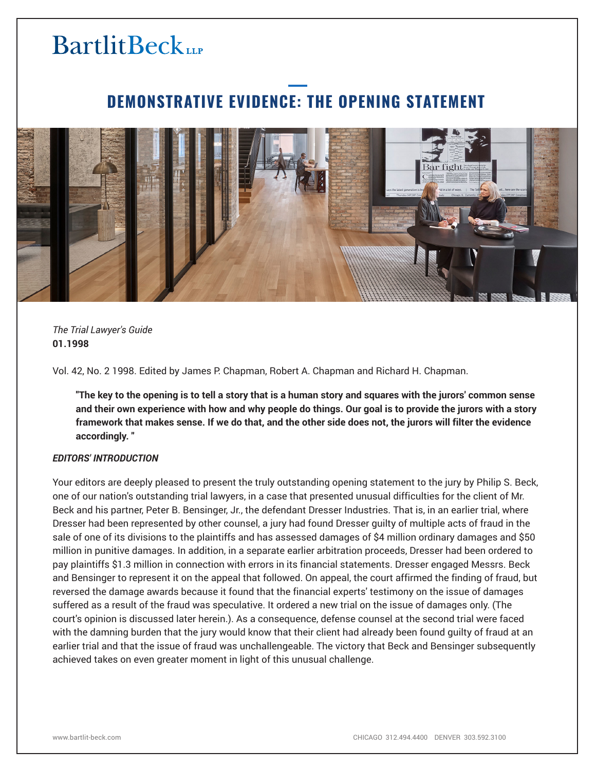### **BartlitBeck**LLP

### **DEMONSTRATIVE EVIDENCE: THE OPENING STATEMENT**



*The Trial Lawyer's Guide* **01.1998**

Vol. 42, No. 2 1998. Edited by James P. Chapman, Robert A. Chapman and Richard H. Chapman.

**"The key to the opening is to tell a story that is a human story and squares with the jurors' common sense and their own experience with how and why people do things. Our goal is to provide the jurors with a story framework that makes sense. If we do that, and the other side does not, the jurors will filter the evidence accordingly. "**

#### *EDITORS' INTRODUCTION*

Your editors are deeply pleased to present the truly outstanding opening statement to the jury by Philip S. Beck, one of our nation's outstanding trial lawyers, in a case that presented unusual difficulties for the client of Mr. Beck and his partner, Peter B. Bensinger, Jr., the defendant Dresser Industries. That is, in an earlier trial, where Dresser had been represented by other counsel, a jury had found Dresser guilty of multiple acts of fraud in the sale of one of its divisions to the plaintiffs and has assessed damages of \$4 million ordinary damages and \$50 million in punitive damages. In addition, in a separate earlier arbitration proceeds, Dresser had been ordered to pay plaintiffs \$1.3 million in connection with errors in its financial statements. Dresser engaged Messrs. Beck and Bensinger to represent it on the appeal that followed. On appeal, the court affirmed the finding of fraud, but reversed the damage awards because it found that the financial experts' testimony on the issue of damages suffered as a result of the fraud was speculative. It ordered a new trial on the issue of damages only. (The court's opinion is discussed later herein.). As a consequence, defense counsel at the second trial were faced with the damning burden that the jury would know that their client had already been found guilty of fraud at an earlier trial and that the issue of fraud was unchallengeable. The victory that Beck and Bensinger subsequently achieved takes on even greater moment in light of this unusual challenge.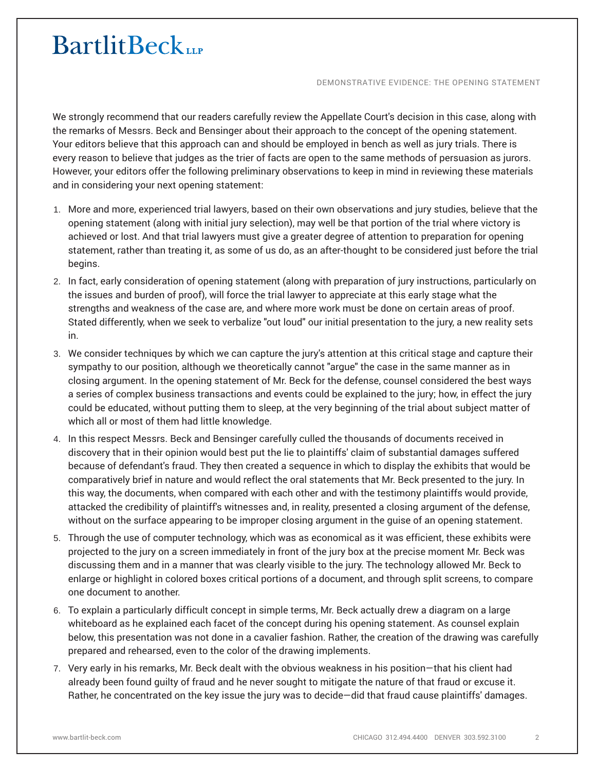DEMONSTRATIVE EVIDENCE: THE OPENING STATEMENT

We strongly recommend that our readers carefully review the Appellate Court's decision in this case, along with the remarks of Messrs. Beck and Bensinger about their approach to the concept of the opening statement. Your editors believe that this approach can and should be employed in bench as well as jury trials. There is every reason to believe that judges as the trier of facts are open to the same methods of persuasion as jurors. However, your editors offer the following preliminary observations to keep in mind in reviewing these materials and in considering your next opening statement:

- 1. More and more, experienced trial lawyers, based on their own observations and jury studies, believe that the opening statement (along with initial jury selection), may well be that portion of the trial where victory is achieved or lost. And that trial lawyers must give a greater degree of attention to preparation for opening statement, rather than treating it, as some of us do, as an after-thought to be considered just before the trial begins.
- 2. In fact, early consideration of opening statement (along with preparation of jury instructions, particularly on the issues and burden of proof), will force the trial lawyer to appreciate at this early stage what the strengths and weakness of the case are, and where more work must be done on certain areas of proof. Stated differently, when we seek to verbalize "out loud" our initial presentation to the jury, a new reality sets in.
- 3. We consider techniques by which we can capture the jury's attention at this critical stage and capture their sympathy to our position, although we theoretically cannot "argue" the case in the same manner as in closing argument. In the opening statement of Mr. Beck for the defense, counsel considered the best ways a series of complex business transactions and events could be explained to the jury; how, in effect the jury could be educated, without putting them to sleep, at the very beginning of the trial about subject matter of which all or most of them had little knowledge.
- 4. In this respect Messrs. Beck and Bensinger carefully culled the thousands of documents received in discovery that in their opinion would best put the lie to plaintiffs' claim of substantial damages suffered because of defendant's fraud. They then created a sequence in which to display the exhibits that would be comparatively brief in nature and would reflect the oral statements that Mr. Beck presented to the jury. In this way, the documents, when compared with each other and with the testimony plaintiffs would provide, attacked the credibility of plaintiff's witnesses and, in reality, presented a closing argument of the defense, without on the surface appearing to be improper closing argument in the guise of an opening statement.
- 5. Through the use of computer technology, which was as economical as it was efficient, these exhibits were projected to the jury on a screen immediately in front of the jury box at the precise moment Mr. Beck was discussing them and in a manner that was clearly visible to the jury. The technology allowed Mr. Beck to enlarge or highlight in colored boxes critical portions of a document, and through split screens, to compare one document to another.
- 6. To explain a particularly difficult concept in simple terms, Mr. Beck actually drew a diagram on a large whiteboard as he explained each facet of the concept during his opening statement. As counsel explain below, this presentation was not done in a cavalier fashion. Rather, the creation of the drawing was carefully prepared and rehearsed, even to the color of the drawing implements.
- 7. Very early in his remarks, Mr. Beck dealt with the obvious weakness in his position—that his client had already been found guilty of fraud and he never sought to mitigate the nature of that fraud or excuse it. Rather, he concentrated on the key issue the jury was to decide—did that fraud cause plaintiffs' damages.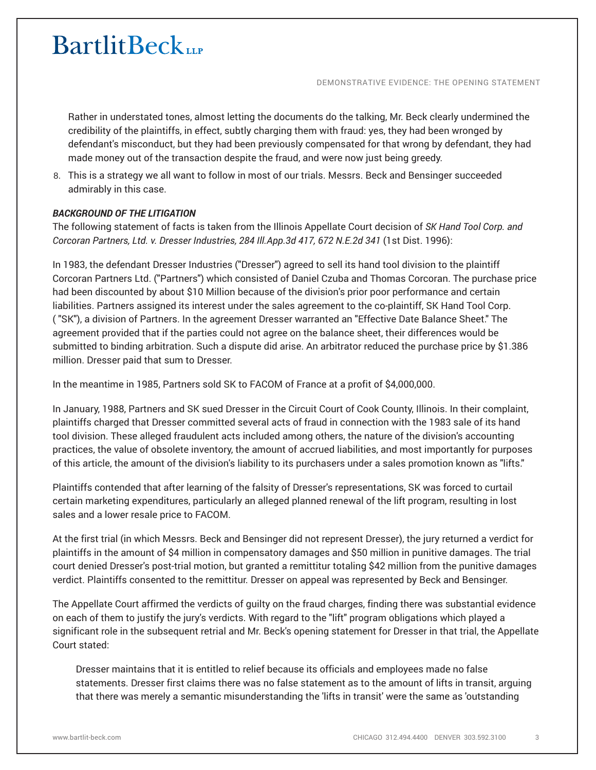DEMONSTRATIVE EVIDENCE: THE OPENING STATEMENT

Rather in understated tones, almost letting the documents do the talking, Mr. Beck clearly undermined the credibility of the plaintiffs, in effect, subtly charging them with fraud: yes, they had been wronged by defendant's misconduct, but they had been previously compensated for that wrong by defendant, they had made money out of the transaction despite the fraud, and were now just being greedy.

8. This is a strategy we all want to follow in most of our trials. Messrs. Beck and Bensinger succeeded admirably in this case.

### *BACKGROUND OF THE LITIGATION*

The following statement of facts is taken from the Illinois Appellate Court decision of *SK Hand Tool Corp. and Corcoran Partners, Ltd. v. Dresser Industries, 284 Ill.App.3d 417, 672 N.E.2d 341* (1st Dist. 1996):

In 1983, the defendant Dresser Industries ("Dresser") agreed to sell its hand tool division to the plaintiff Corcoran Partners Ltd. ("Partners") which consisted of Daniel Czuba and Thomas Corcoran. The purchase price had been discounted by about \$10 Million because of the division's prior poor performance and certain liabilities. Partners assigned its interest under the sales agreement to the co-plaintiff, SK Hand Tool Corp. ( "SK"), a division of Partners. In the agreement Dresser warranted an "Effective Date Balance Sheet." The agreement provided that if the parties could not agree on the balance sheet, their differences would be submitted to binding arbitration. Such a dispute did arise. An arbitrator reduced the purchase price by \$1.386 million. Dresser paid that sum to Dresser.

In the meantime in 1985, Partners sold SK to FACOM of France at a profit of \$4,000,000.

In January, 1988, Partners and SK sued Dresser in the Circuit Court of Cook County, Illinois. In their complaint, plaintiffs charged that Dresser committed several acts of fraud in connection with the 1983 sale of its hand tool division. These alleged fraudulent acts included among others, the nature of the division's accounting practices, the value of obsolete inventory, the amount of accrued liabilities, and most importantly for purposes of this article, the amount of the division's liability to its purchasers under a sales promotion known as "lifts."

Plaintiffs contended that after learning of the falsity of Dresser's representations, SK was forced to curtail certain marketing expenditures, particularly an alleged planned renewal of the lift program, resulting in lost sales and a lower resale price to FACOM.

At the first trial (in which Messrs. Beck and Bensinger did not represent Dresser), the jury returned a verdict for plaintiffs in the amount of \$4 million in compensatory damages and \$50 million in punitive damages. The trial court denied Dresser's post-trial motion, but granted a remittitur totaling \$42 million from the punitive damages verdict. Plaintiffs consented to the remittitur. Dresser on appeal was represented by Beck and Bensinger.

The Appellate Court affirmed the verdicts of guilty on the fraud charges, finding there was substantial evidence on each of them to justify the jury's verdicts. With regard to the "lift" program obligations which played a significant role in the subsequent retrial and Mr. Beck's opening statement for Dresser in that trial, the Appellate Court stated:

Dresser maintains that it is entitled to relief because its officials and employees made no false statements. Dresser first claims there was no false statement as to the amount of lifts in transit, arguing that there was merely a semantic misunderstanding the 'lifts in transit' were the same as 'outstanding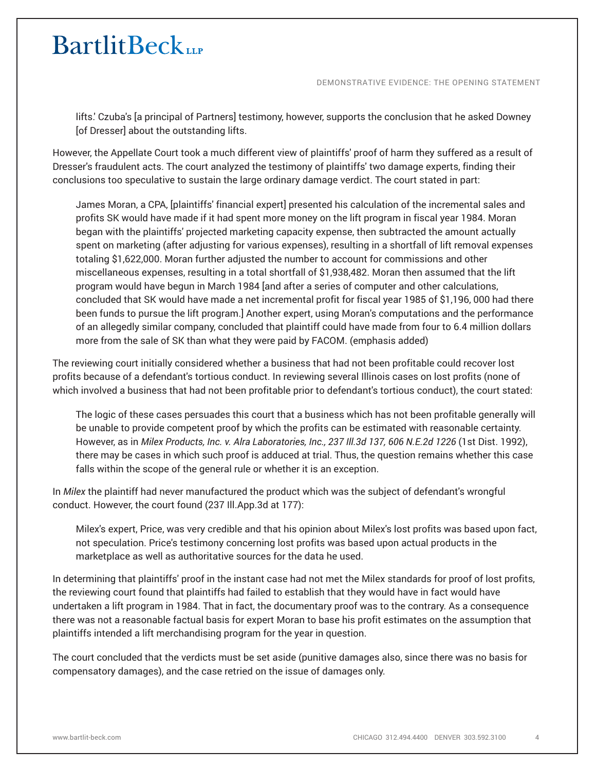DEMONSTRATIVE EVIDENCE: THE OPENING STATEMENT

lifts.' Czuba's [a principal of Partners] testimony, however, supports the conclusion that he asked Downey [of Dresser] about the outstanding lifts.

However, the Appellate Court took a much different view of plaintiffs' proof of harm they suffered as a result of Dresser's fraudulent acts. The court analyzed the testimony of plaintiffs' two damage experts, finding their conclusions too speculative to sustain the large ordinary damage verdict. The court stated in part:

James Moran, a CPA, [plaintiffs' financial expert] presented his calculation of the incremental sales and profits SK would have made if it had spent more money on the lift program in fiscal year 1984. Moran began with the plaintiffs' projected marketing capacity expense, then subtracted the amount actually spent on marketing (after adjusting for various expenses), resulting in a shortfall of lift removal expenses totaling \$1,622,000. Moran further adjusted the number to account for commissions and other miscellaneous expenses, resulting in a total shortfall of \$1,938,482. Moran then assumed that the lift program would have begun in March 1984 [and after a series of computer and other calculations, concluded that SK would have made a net incremental profit for fiscal year 1985 of \$1,196, 000 had there been funds to pursue the lift program.] Another expert, using Moran's computations and the performance of an allegedly similar company, concluded that plaintiff could have made from four to 6.4 million dollars more from the sale of SK than what they were paid by FACOM. (emphasis added)

The reviewing court initially considered whether a business that had not been profitable could recover lost profits because of a defendant's tortious conduct. In reviewing several Illinois cases on lost profits (none of which involved a business that had not been profitable prior to defendant's tortious conduct), the court stated:

The logic of these cases persuades this court that a business which has not been profitable generally will be unable to provide competent proof by which the profits can be estimated with reasonable certainty. However, as in *Milex Products, Inc. v. Alra Laboratories, Inc., 237 Ill.3d 137, 606 N.E.2d 1226* (1st Dist. 1992), there may be cases in which such proof is adduced at trial. Thus, the question remains whether this case falls within the scope of the general rule or whether it is an exception.

In *Milex* the plaintiff had never manufactured the product which was the subject of defendant's wrongful conduct. However, the court found (237 Ill.App.3d at 177):

Milex's expert, Price, was very credible and that his opinion about Milex's lost profits was based upon fact, not speculation. Price's testimony concerning lost profits was based upon actual products in the marketplace as well as authoritative sources for the data he used.

In determining that plaintiffs' proof in the instant case had not met the Milex standards for proof of lost profits, the reviewing court found that plaintiffs had failed to establish that they would have in fact would have undertaken a lift program in 1984. That in fact, the documentary proof was to the contrary. As a consequence there was not a reasonable factual basis for expert Moran to base his profit estimates on the assumption that plaintiffs intended a lift merchandising program for the year in question.

The court concluded that the verdicts must be set aside (punitive damages also, since there was no basis for compensatory damages), and the case retried on the issue of damages only.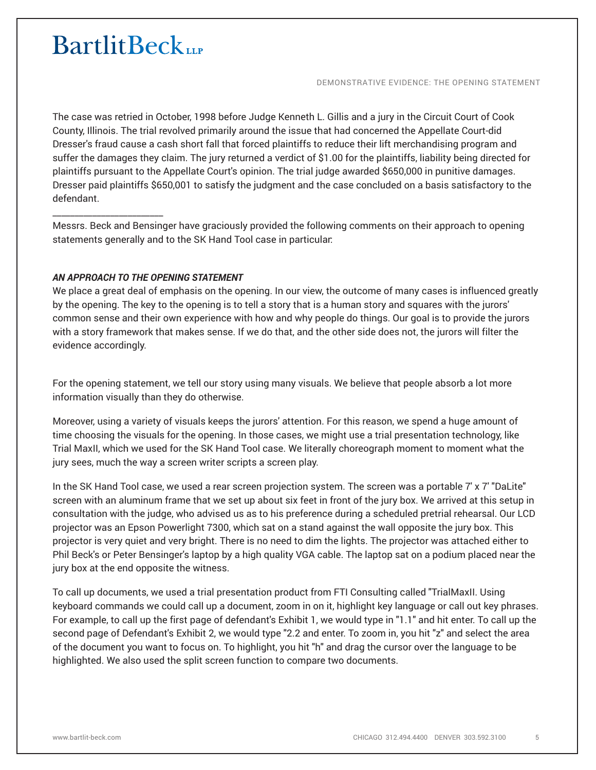\_\_\_\_\_\_\_\_\_\_\_\_\_\_\_\_\_\_\_\_\_\_\_\_\_

DEMONSTRATIVE EVIDENCE: THE OPENING STATEMENT

The case was retried in October, 1998 before Judge Kenneth L. Gillis and a jury in the Circuit Court of Cook County, Illinois. The trial revolved primarily around the issue that had concerned the Appellate Court-did Dresser's fraud cause a cash short fall that forced plaintiffs to reduce their lift merchandising program and suffer the damages they claim. The jury returned a verdict of \$1.00 for the plaintiffs, liability being directed for plaintiffs pursuant to the Appellate Court's opinion. The trial judge awarded \$650,000 in punitive damages. Dresser paid plaintiffs \$650,001 to satisfy the judgment and the case concluded on a basis satisfactory to the defendant.

Messrs. Beck and Bensinger have graciously provided the following comments on their approach to opening statements generally and to the SK Hand Tool case in particular:

### *AN APPROACH TO THE OPENING STATEMENT*

We place a great deal of emphasis on the opening. In our view, the outcome of many cases is influenced greatly by the opening. The key to the opening is to tell a story that is a human story and squares with the jurors' common sense and their own experience with how and why people do things. Our goal is to provide the jurors with a story framework that makes sense. If we do that, and the other side does not, the jurors will filter the evidence accordingly.

For the opening statement, we tell our story using many visuals. We believe that people absorb a lot more information visually than they do otherwise.

Moreover, using a variety of visuals keeps the jurors' attention. For this reason, we spend a huge amount of time choosing the visuals for the opening. In those cases, we might use a trial presentation technology, like Trial MaxII, which we used for the SK Hand Tool case. We literally choreograph moment to moment what the jury sees, much the way a screen writer scripts a screen play.

In the SK Hand Tool case, we used a rear screen projection system. The screen was a portable 7' x 7' "DaLite" screen with an aluminum frame that we set up about six feet in front of the jury box. We arrived at this setup in consultation with the judge, who advised us as to his preference during a scheduled pretrial rehearsal. Our LCD projector was an Epson Powerlight 7300, which sat on a stand against the wall opposite the jury box. This projector is very quiet and very bright. There is no need to dim the lights. The projector was attached either to Phil Beck's or Peter Bensinger's laptop by a high quality VGA cable. The laptop sat on a podium placed near the jury box at the end opposite the witness.

To call up documents, we used a trial presentation product from FTI Consulting called "TrialMaxII. Using keyboard commands we could call up a document, zoom in on it, highlight key language or call out key phrases. For example, to call up the first page of defendant's Exhibit 1, we would type in "1.1" and hit enter. To call up the second page of Defendant's Exhibit 2, we would type "2.2 and enter. To zoom in, you hit "z" and select the area of the document you want to focus on. To highlight, you hit "h" and drag the cursor over the language to be highlighted. We also used the split screen function to compare two documents.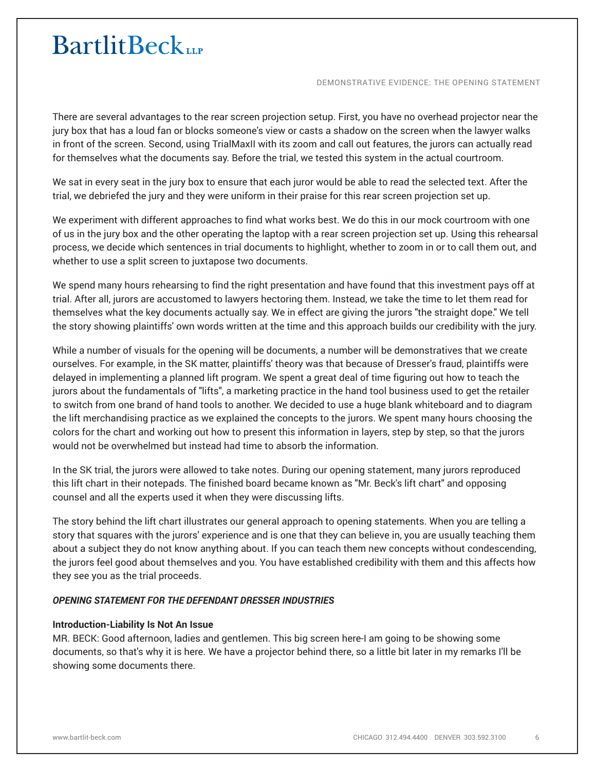DEMONSTRATIVE EVIDENCE: THE OPENING STATEMENT

There are several advantages to the rear screen projection setup. First, you have no overhead projector near the jury box that has a loud fan or blocks someone's view or casts a shadow on the screen when the lawyer walks in front of the screen. Second, using TrialMaxII with its zoom and call out features, the jurors can actually read for themselves what the documents say. Before the trial, we tested this system in the actual courtroom.

We sat in every seat in the jury box to ensure that each juror would be able to read the selected text. After the trial, we debriefed the jury and they were uniform in their praise for this rear screen projection set up.

We experiment with different approaches to find what works best. We do this in our mock courtroom with one of us in the jury box and the other operating the laptop with a rear screen projection set up. Using this rehearsal process, we decide which sentences in trial documents to highlight, whether to zoom in or to call them out, and whether to use a split screen to juxtapose two documents.

We spend many hours rehearsing to find the right presentation and have found that this investment pays off at trial. After all, jurors are accustomed to lawyers hectoring them. Instead, we take the time to let them read for themselves what the key documents actually say. We in effect are giving the jurors "the straight dope." We tell the story showing plaintiffs' own words written at the time and this approach builds our credibility with the jury.

While a number of visuals for the opening will be documents, a number will be demonstratives that we create ourselves. For example, in the SK matter, plaintiffs' theory was that because of Dresser's fraud, plaintiffs were delayed in implementing a planned lift program. We spent a great deal of time figuring out how to teach the jurors about the fundamentals of "lifts", a marketing practice in the hand tool business used to get the retailer to switch from one brand of hand tools to another. We decided to use a huge blank whiteboard and to diagram the lift merchandising practice as we explained the concepts to the jurors. We spent many hours choosing the colors for the chart and working out how to present this information in layers, step by step, so that the jurors would not be overwhelmed but instead had time to absorb the information.

In the SK trial, the jurors were allowed to take notes. During our opening statement, many jurors reproduced this lift chart in their notepads. The finished board became known as "Mr. Beck's lift chart" and opposing counsel and all the experts used it when they were discussing lifts.

The story behind the lift chart illustrates our general approach to opening statements. When you are telling a story that squares with the jurors' experience and is one that they can believe in, you are usually teaching them about a subject they do not know anything about. If you can teach them new concepts without condescending, the jurors feel good about themselves and you. You have established credibility with them and this affects how they see you as the trial proceeds.

#### *OPENING STATEMENT FOR THE DEFENDANT DRESSER INDUSTRIES*

#### **Introduction-Liability Is Not An Issue**

MR. BECK: Good afternoon, ladies and gentlemen. This big screen here-I am going to be showing some documents, so that's why it is here. We have a projector behind there, so a little bit later in my remarks I'll be showing some documents there.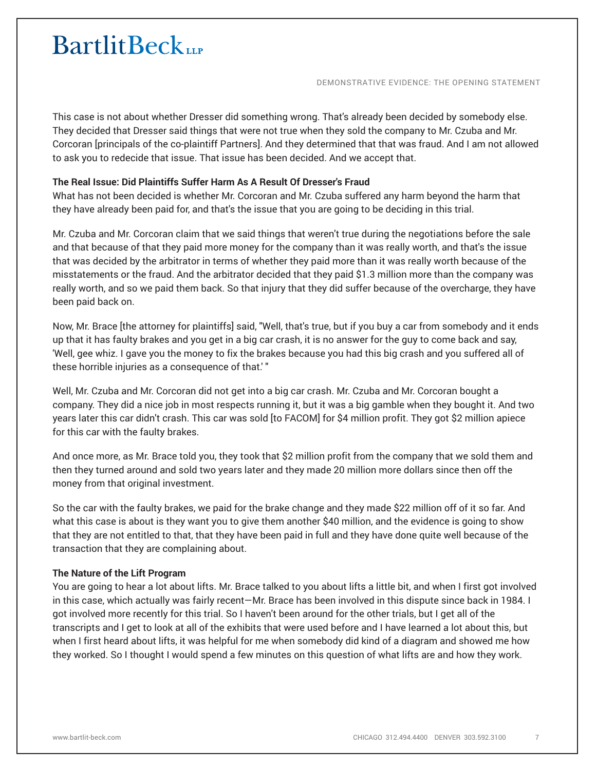DEMONSTRATIVE EVIDENCE: THE OPENING STATEMENT

This case is not about whether Dresser did something wrong. That's already been decided by somebody else. They decided that Dresser said things that were not true when they sold the company to Mr. Czuba and Mr. Corcoran [principals of the co-plaintiff Partners]. And they determined that that was fraud. And I am not allowed to ask you to redecide that issue. That issue has been decided. And we accept that.

#### **The Real Issue: Did Plaintiffs Suffer Harm As A Result Of Dresser's Fraud**

What has not been decided is whether Mr. Corcoran and Mr. Czuba suffered any harm beyond the harm that they have already been paid for, and that's the issue that you are going to be deciding in this trial.

Mr. Czuba and Mr. Corcoran claim that we said things that weren't true during the negotiations before the sale and that because of that they paid more money for the company than it was really worth, and that's the issue that was decided by the arbitrator in terms of whether they paid more than it was really worth because of the misstatements or the fraud. And the arbitrator decided that they paid \$1.3 million more than the company was really worth, and so we paid them back. So that injury that they did suffer because of the overcharge, they have been paid back on.

Now, Mr. Brace [the attorney for plaintiffs] said, "Well, that's true, but if you buy a car from somebody and it ends up that it has faulty brakes and you get in a big car crash, it is no answer for the guy to come back and say, 'Well, gee whiz. I gave you the money to fix the brakes because you had this big crash and you suffered all of these horrible injuries as a consequence of that.' "

Well, Mr. Czuba and Mr. Corcoran did not get into a big car crash. Mr. Czuba and Mr. Corcoran bought a company. They did a nice job in most respects running it, but it was a big gamble when they bought it. And two years later this car didn't crash. This car was sold [to FACOM] for \$4 million profit. They got \$2 million apiece for this car with the faulty brakes.

And once more, as Mr. Brace told you, they took that \$2 million profit from the company that we sold them and then they turned around and sold two years later and they made 20 million more dollars since then off the money from that original investment.

So the car with the faulty brakes, we paid for the brake change and they made \$22 million off of it so far. And what this case is about is they want you to give them another \$40 million, and the evidence is going to show that they are not entitled to that, that they have been paid in full and they have done quite well because of the transaction that they are complaining about.

#### **The Nature of the Lift Program**

You are going to hear a lot about lifts. Mr. Brace talked to you about lifts a little bit, and when I first got involved in this case, which actually was fairly recent—Mr. Brace has been involved in this dispute since back in 1984. I got involved more recently for this trial. So I haven't been around for the other trials, but I get all of the transcripts and I get to look at all of the exhibits that were used before and I have learned a lot about this, but when I first heard about lifts, it was helpful for me when somebody did kind of a diagram and showed me how they worked. So I thought I would spend a few minutes on this question of what lifts are and how they work.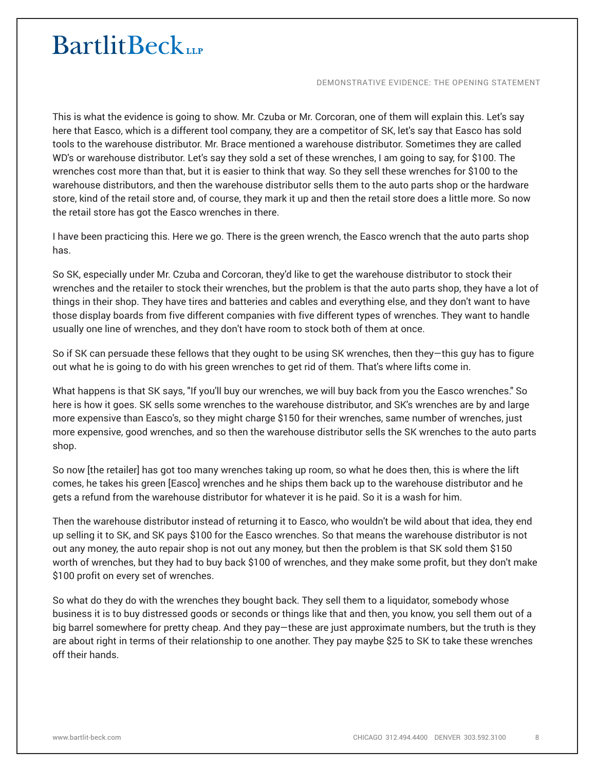DEMONSTRATIVE EVIDENCE: THE OPENING STATEMENT

This is what the evidence is going to show. Mr. Czuba or Mr. Corcoran, one of them will explain this. Let's say here that Easco, which is a different tool company, they are a competitor of SK, let's say that Easco has sold tools to the warehouse distributor. Mr. Brace mentioned a warehouse distributor. Sometimes they are called WD's or warehouse distributor. Let's say they sold a set of these wrenches, I am going to say, for \$100. The wrenches cost more than that, but it is easier to think that way. So they sell these wrenches for \$100 to the warehouse distributors, and then the warehouse distributor sells them to the auto parts shop or the hardware store, kind of the retail store and, of course, they mark it up and then the retail store does a little more. So now the retail store has got the Easco wrenches in there.

I have been practicing this. Here we go. There is the green wrench, the Easco wrench that the auto parts shop has.

So SK, especially under Mr. Czuba and Corcoran, they'd like to get the warehouse distributor to stock their wrenches and the retailer to stock their wrenches, but the problem is that the auto parts shop, they have a lot of things in their shop. They have tires and batteries and cables and everything else, and they don't want to have those display boards from five different companies with five different types of wrenches. They want to handle usually one line of wrenches, and they don't have room to stock both of them at once.

So if SK can persuade these fellows that they ought to be using SK wrenches, then they—this guy has to figure out what he is going to do with his green wrenches to get rid of them. That's where lifts come in.

What happens is that SK says, "If you'll buy our wrenches, we will buy back from you the Easco wrenches." So here is how it goes. SK sells some wrenches to the warehouse distributor, and SK's wrenches are by and large more expensive than Easco's, so they might charge \$150 for their wrenches, same number of wrenches, just more expensive, good wrenches, and so then the warehouse distributor sells the SK wrenches to the auto parts shop.

So now [the retailer] has got too many wrenches taking up room, so what he does then, this is where the lift comes, he takes his green [Easco] wrenches and he ships them back up to the warehouse distributor and he gets a refund from the warehouse distributor for whatever it is he paid. So it is a wash for him.

Then the warehouse distributor instead of returning it to Easco, who wouldn't be wild about that idea, they end up selling it to SK, and SK pays \$100 for the Easco wrenches. So that means the warehouse distributor is not out any money, the auto repair shop is not out any money, but then the problem is that SK sold them \$150 worth of wrenches, but they had to buy back \$100 of wrenches, and they make some profit, but they don't make \$100 profit on every set of wrenches.

So what do they do with the wrenches they bought back. They sell them to a liquidator, somebody whose business it is to buy distressed goods or seconds or things like that and then, you know, you sell them out of a big barrel somewhere for pretty cheap. And they pay—these are just approximate numbers, but the truth is they are about right in terms of their relationship to one another. They pay maybe \$25 to SK to take these wrenches off their hands.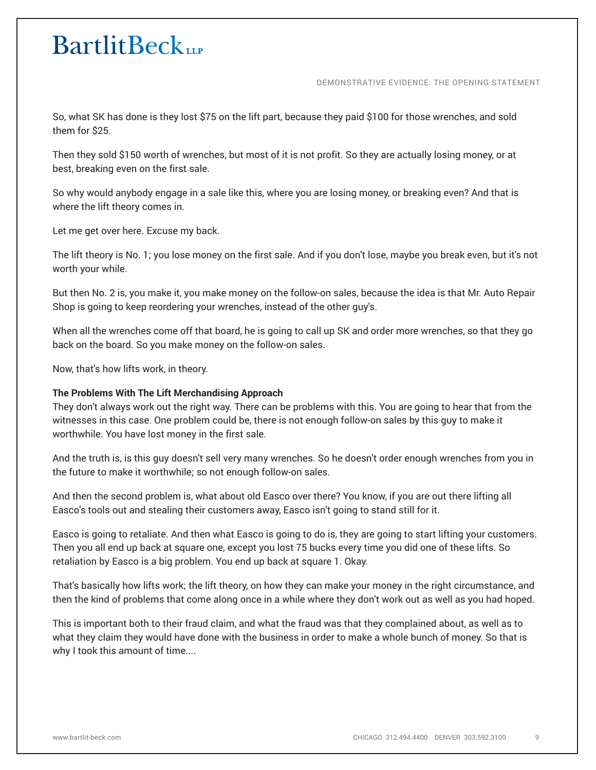DEMONSTRATIVE EVIDENCE: THE OPENING STATEMENT

So, what SK has done is they lost \$75 on the lift part, because they paid \$100 for those wrenches, and sold them for \$25.

Then they sold \$150 worth of wrenches, but most of it is not profit. So they are actually losing money, or at best, breaking even on the first sale.

So why would anybody engage in a sale like this, where you are losing money, or breaking even? And that is where the lift theory comes in.

Let me get over here. Excuse my back.

The lift theory is No. 1; you lose money on the first sale. And if you don't lose, maybe you break even, but it's not worth your while.

But then No. 2 is, you make it, you make money on the follow-on sales, because the idea is that Mr. Auto Repair Shop is going to keep reordering your wrenches, instead of the other guy's.

When all the wrenches come off that board, he is going to call up SK and order more wrenches, so that they go back on the board. So you make money on the follow-on sales.

Now, that's how lifts work, in theory.

#### **The Problems With The Lift Merchandising Approach**

They don't always work out the right way. There can be problems with this. You are going to hear that from the witnesses in this case. One problem could be, there is not enough follow-on sales by this guy to make it worthwhile. You have lost money in the first sale.

And the truth is, is this guy doesn't sell very many wrenches. So he doesn't order enough wrenches from you in the future to make it worthwhile; so not enough follow-on sales.

And then the second problem is, what about old Easco over there? You know, if you are out there lifting all Easco's tools out and stealing their customers away, Easco isn't going to stand still for it.

Easco is going to retaliate. And then what Easco is going to do is, they are going to start lifting your customers. Then you all end up back at square one, except you lost 75 bucks every time you did one of these lifts. So retaliation by Easco is a big problem. You end up back at square 1. Okay.

That's basically how lifts work; the lift theory, on how they can make your money in the right circumstance, and then the kind of problems that come along once in a while where they don't work out as well as you had hoped.

This is important both to their fraud claim, and what the fraud was that they complained about, as well as to what they claim they would have done with the business in order to make a whole bunch of money. So that is why I took this amount of time....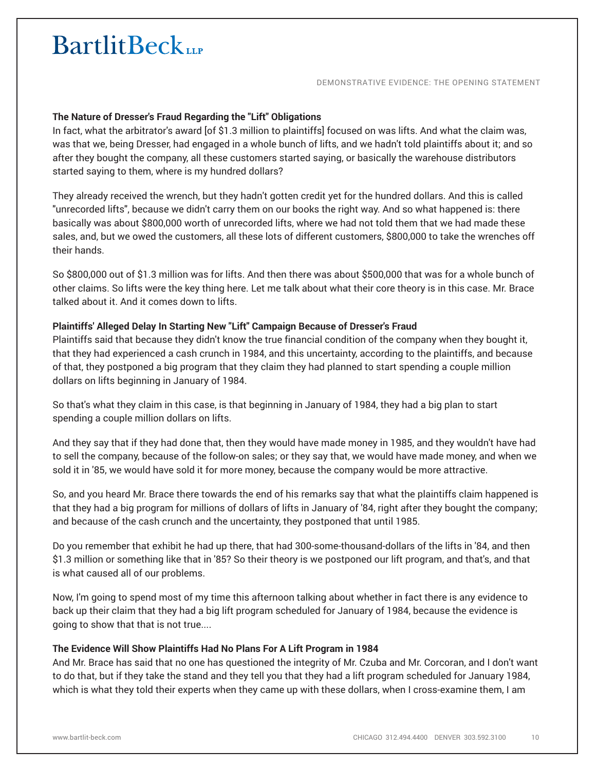DEMONSTRATIVE EVIDENCE: THE OPENING STATEMENT

#### **The Nature of Dresser's Fraud Regarding the "Lift" Obligations**

In fact, what the arbitrator's award [of \$1.3 million to plaintiffs] focused on was lifts. And what the claim was, was that we, being Dresser, had engaged in a whole bunch of lifts, and we hadn't told plaintiffs about it; and so after they bought the company, all these customers started saying, or basically the warehouse distributors started saying to them, where is my hundred dollars?

They already received the wrench, but they hadn't gotten credit yet for the hundred dollars. And this is called "unrecorded lifts", because we didn't carry them on our books the right way. And so what happened is: there basically was about \$800,000 worth of unrecorded lifts, where we had not told them that we had made these sales, and, but we owed the customers, all these lots of different customers, \$800,000 to take the wrenches off their hands.

So \$800,000 out of \$1.3 million was for lifts. And then there was about \$500,000 that was for a whole bunch of other claims. So lifts were the key thing here. Let me talk about what their core theory is in this case. Mr. Brace talked about it. And it comes down to lifts.

### **Plaintiffs' Alleged Delay In Starting New "Lift" Campaign Because of Dresser's Fraud**

Plaintiffs said that because they didn't know the true financial condition of the company when they bought it, that they had experienced a cash crunch in 1984, and this uncertainty, according to the plaintiffs, and because of that, they postponed a big program that they claim they had planned to start spending a couple million dollars on lifts beginning in January of 1984.

So that's what they claim in this case, is that beginning in January of 1984, they had a big plan to start spending a couple million dollars on lifts.

And they say that if they had done that, then they would have made money in 1985, and they wouldn't have had to sell the company, because of the follow-on sales; or they say that, we would have made money, and when we sold it in '85, we would have sold it for more money, because the company would be more attractive.

So, and you heard Mr. Brace there towards the end of his remarks say that what the plaintiffs claim happened is that they had a big program for millions of dollars of lifts in January of '84, right after they bought the company; and because of the cash crunch and the uncertainty, they postponed that until 1985.

Do you remember that exhibit he had up there, that had 300-some-thousand-dollars of the lifts in '84, and then \$1.3 million or something like that in '85? So their theory is we postponed our lift program, and that's, and that is what caused all of our problems.

Now, I'm going to spend most of my time this afternoon talking about whether in fact there is any evidence to back up their claim that they had a big lift program scheduled for January of 1984, because the evidence is going to show that that is not true....

#### **The Evidence Will Show Plaintiffs Had No Plans For A Lift Program in 1984**

And Mr. Brace has said that no one has questioned the integrity of Mr. Czuba and Mr. Corcoran, and I don't want to do that, but if they take the stand and they tell you that they had a lift program scheduled for January 1984, which is what they told their experts when they came up with these dollars, when I cross-examine them, I am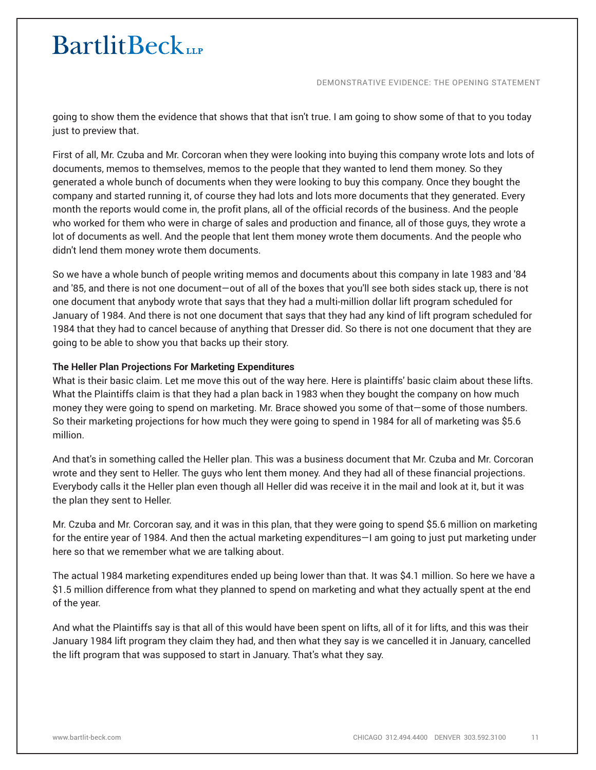DEMONSTRATIVE EVIDENCE: THE OPENING STATEMENT

going to show them the evidence that shows that that isn't true. I am going to show some of that to you today just to preview that.

First of all, Mr. Czuba and Mr. Corcoran when they were looking into buying this company wrote lots and lots of documents, memos to themselves, memos to the people that they wanted to lend them money. So they generated a whole bunch of documents when they were looking to buy this company. Once they bought the company and started running it, of course they had lots and lots more documents that they generated. Every month the reports would come in, the profit plans, all of the official records of the business. And the people who worked for them who were in charge of sales and production and finance, all of those guys, they wrote a lot of documents as well. And the people that lent them money wrote them documents. And the people who didn't lend them money wrote them documents.

So we have a whole bunch of people writing memos and documents about this company in late 1983 and '84 and '85, and there is not one document—out of all of the boxes that you'll see both sides stack up, there is not one document that anybody wrote that says that they had a multi-million dollar lift program scheduled for January of 1984. And there is not one document that says that they had any kind of lift program scheduled for 1984 that they had to cancel because of anything that Dresser did. So there is not one document that they are going to be able to show you that backs up their story.

#### **The Heller Plan Projections For Marketing Expenditures**

What is their basic claim. Let me move this out of the way here. Here is plaintiffs' basic claim about these lifts. What the Plaintiffs claim is that they had a plan back in 1983 when they bought the company on how much money they were going to spend on marketing. Mr. Brace showed you some of that—some of those numbers. So their marketing projections for how much they were going to spend in 1984 for all of marketing was \$5.6 million.

And that's in something called the Heller plan. This was a business document that Mr. Czuba and Mr. Corcoran wrote and they sent to Heller. The guys who lent them money. And they had all of these financial projections. Everybody calls it the Heller plan even though all Heller did was receive it in the mail and look at it, but it was the plan they sent to Heller.

Mr. Czuba and Mr. Corcoran say, and it was in this plan, that they were going to spend \$5.6 million on marketing for the entire year of 1984. And then the actual marketing expenditures—I am going to just put marketing under here so that we remember what we are talking about.

The actual 1984 marketing expenditures ended up being lower than that. It was \$4.1 million. So here we have a \$1.5 million difference from what they planned to spend on marketing and what they actually spent at the end of the year.

And what the Plaintiffs say is that all of this would have been spent on lifts, all of it for lifts, and this was their January 1984 lift program they claim they had, and then what they say is we cancelled it in January, cancelled the lift program that was supposed to start in January. That's what they say.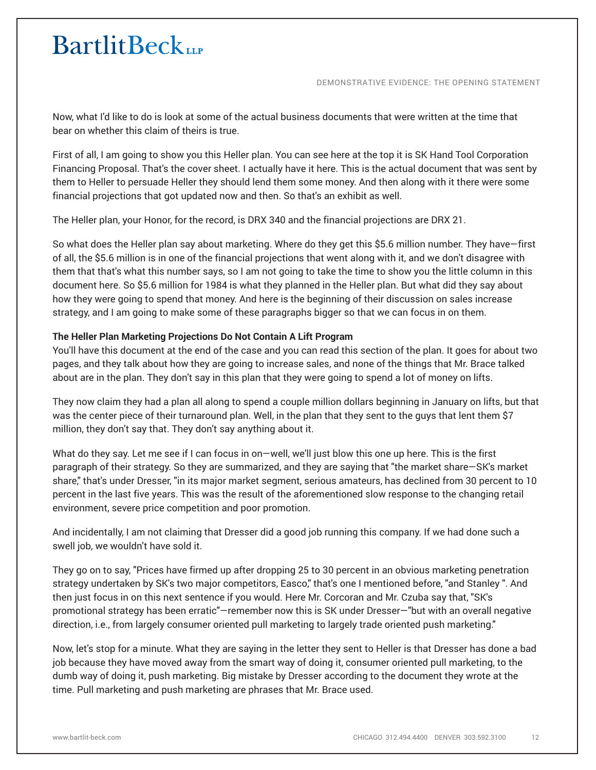DEMONSTRATIVE EVIDENCE: THE OPENING STATEMENT

Now, what I'd like to do is look at some of the actual business documents that were written at the time that bear on whether this claim of theirs is true.

First of all, I am going to show you this Heller plan. You can see here at the top it is SK Hand Tool Corporation Financing Proposal. That's the cover sheet. I actually have it here. This is the actual document that was sent by them to Heller to persuade Heller they should lend them some money. And then along with it there were some financial projections that got updated now and then. So that's an exhibit as well.

The Heller plan, your Honor, for the record, is DRX 340 and the financial projections are DRX 21.

So what does the Heller plan say about marketing. Where do they get this \$5.6 million number. They have—first of all, the \$5.6 million is in one of the financial projections that went along with it, and we don't disagree with them that that's what this number says, so I am not going to take the time to show you the little column in this document here. So \$5.6 million for 1984 is what they planned in the Heller plan. But what did they say about how they were going to spend that money. And here is the beginning of their discussion on sales increase strategy, and I am going to make some of these paragraphs bigger so that we can focus in on them.

### **The Heller Plan Marketing Projections Do Not Contain A Lift Program**

You'll have this document at the end of the case and you can read this section of the plan. It goes for about two pages, and they talk about how they are going to increase sales, and none of the things that Mr. Brace talked about are in the plan. They don't say in this plan that they were going to spend a lot of money on lifts.

They now claim they had a plan all along to spend a couple million dollars beginning in January on lifts, but that was the center piece of their turnaround plan. Well, in the plan that they sent to the guys that lent them \$7 million, they don't say that. They don't say anything about it.

What do they say. Let me see if I can focus in on—well, we'll just blow this one up here. This is the first paragraph of their strategy. So they are summarized, and they are saying that "the market share—SK's market share," that's under Dresser, "in its major market segment, serious amateurs, has declined from 30 percent to 10 percent in the last five years. This was the result of the aforementioned slow response to the changing retail environment, severe price competition and poor promotion.

And incidentally, I am not claiming that Dresser did a good job running this company. If we had done such a swell job, we wouldn't have sold it.

They go on to say, "Prices have firmed up after dropping 25 to 30 percent in an obvious marketing penetration strategy undertaken by SK's two major competitors, Easco," that's one I mentioned before, "and Stanley ". And then just focus in on this next sentence if you would. Here Mr. Corcoran and Mr. Czuba say that, "SK's promotional strategy has been erratic"—remember now this is SK under Dresser—"but with an overall negative direction, i.e., from largely consumer oriented pull marketing to largely trade oriented push marketing."

Now, let's stop for a minute. What they are saying in the letter they sent to Heller is that Dresser has done a bad job because they have moved away from the smart way of doing it, consumer oriented pull marketing, to the dumb way of doing it, push marketing. Big mistake by Dresser according to the document they wrote at the time. Pull marketing and push marketing are phrases that Mr. Brace used.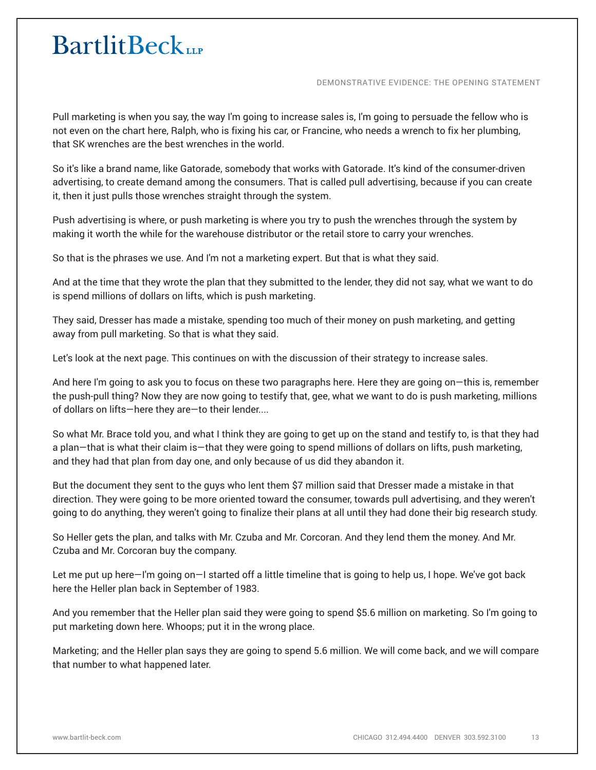DEMONSTRATIVE EVIDENCE: THE OPENING STATEMENT

Pull marketing is when you say, the way I'm going to increase sales is, I'm going to persuade the fellow who is not even on the chart here, Ralph, who is fixing his car, or Francine, who needs a wrench to fix her plumbing, that SK wrenches are the best wrenches in the world.

So it's like a brand name, like Gatorade, somebody that works with Gatorade. It's kind of the consumer-driven advertising, to create demand among the consumers. That is called pull advertising, because if you can create it, then it just pulls those wrenches straight through the system.

Push advertising is where, or push marketing is where you try to push the wrenches through the system by making it worth the while for the warehouse distributor or the retail store to carry your wrenches.

So that is the phrases we use. And I'm not a marketing expert. But that is what they said.

And at the time that they wrote the plan that they submitted to the lender, they did not say, what we want to do is spend millions of dollars on lifts, which is push marketing.

They said, Dresser has made a mistake, spending too much of their money on push marketing, and getting away from pull marketing. So that is what they said.

Let's look at the next page. This continues on with the discussion of their strategy to increase sales.

And here I'm going to ask you to focus on these two paragraphs here. Here they are going on—this is, remember the push-pull thing? Now they are now going to testify that, gee, what we want to do is push marketing, millions of dollars on lifts—here they are—to their lender....

So what Mr. Brace told you, and what I think they are going to get up on the stand and testify to, is that they had a plan—that is what their claim is—that they were going to spend millions of dollars on lifts, push marketing, and they had that plan from day one, and only because of us did they abandon it.

But the document they sent to the guys who lent them \$7 million said that Dresser made a mistake in that direction. They were going to be more oriented toward the consumer, towards pull advertising, and they weren't going to do anything, they weren't going to finalize their plans at all until they had done their big research study.

So Heller gets the plan, and talks with Mr. Czuba and Mr. Corcoran. And they lend them the money. And Mr. Czuba and Mr. Corcoran buy the company.

Let me put up here—I'm going on—I started off a little timeline that is going to help us, I hope. We've got back here the Heller plan back in September of 1983.

And you remember that the Heller plan said they were going to spend \$5.6 million on marketing. So I'm going to put marketing down here. Whoops; put it in the wrong place.

Marketing; and the Heller plan says they are going to spend 5.6 million. We will come back, and we will compare that number to what happened later.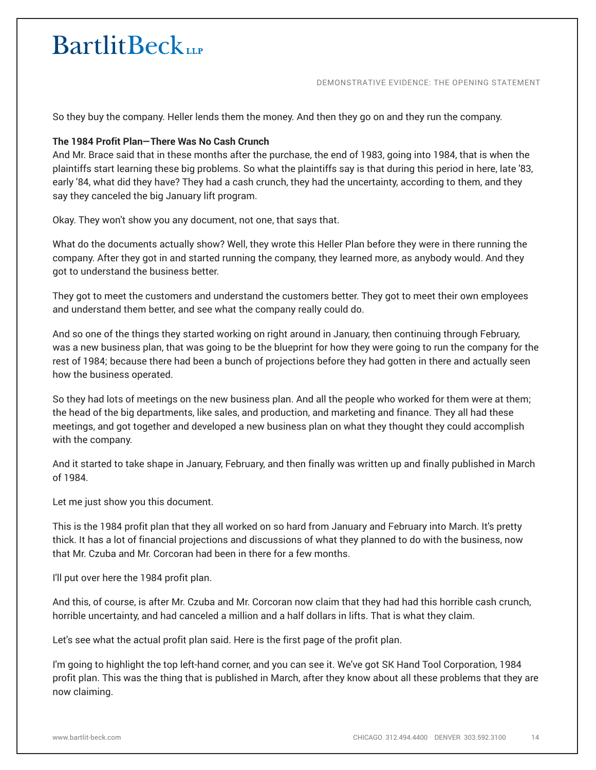DEMONSTRATIVE EVIDENCE: THE OPENING STATEMENT

So they buy the company. Heller lends them the money. And then they go on and they run the company.

#### **The 1984 Profit Plan—There Was No Cash Crunch**

And Mr. Brace said that in these months after the purchase, the end of 1983, going into 1984, that is when the plaintiffs start learning these big problems. So what the plaintiffs say is that during this period in here, late '83, early '84, what did they have? They had a cash crunch, they had the uncertainty, according to them, and they say they canceled the big January lift program.

Okay. They won't show you any document, not one, that says that.

What do the documents actually show? Well, they wrote this Heller Plan before they were in there running the company. After they got in and started running the company, they learned more, as anybody would. And they got to understand the business better.

They got to meet the customers and understand the customers better. They got to meet their own employees and understand them better, and see what the company really could do.

And so one of the things they started working on right around in January, then continuing through February, was a new business plan, that was going to be the blueprint for how they were going to run the company for the rest of 1984; because there had been a bunch of projections before they had gotten in there and actually seen how the business operated.

So they had lots of meetings on the new business plan. And all the people who worked for them were at them; the head of the big departments, like sales, and production, and marketing and finance. They all had these meetings, and got together and developed a new business plan on what they thought they could accomplish with the company.

And it started to take shape in January, February, and then finally was written up and finally published in March of 1984.

Let me just show you this document.

This is the 1984 profit plan that they all worked on so hard from January and February into March. It's pretty thick. It has a lot of financial projections and discussions of what they planned to do with the business, now that Mr. Czuba and Mr. Corcoran had been in there for a few months.

I'll put over here the 1984 profit plan.

And this, of course, is after Mr. Czuba and Mr. Corcoran now claim that they had had this horrible cash crunch, horrible uncertainty, and had canceled a million and a half dollars in lifts. That is what they claim.

Let's see what the actual profit plan said. Here is the first page of the profit plan.

I'm going to highlight the top left-hand corner, and you can see it. We've got SK Hand Tool Corporation, 1984 profit plan. This was the thing that is published in March, after they know about all these problems that they are now claiming.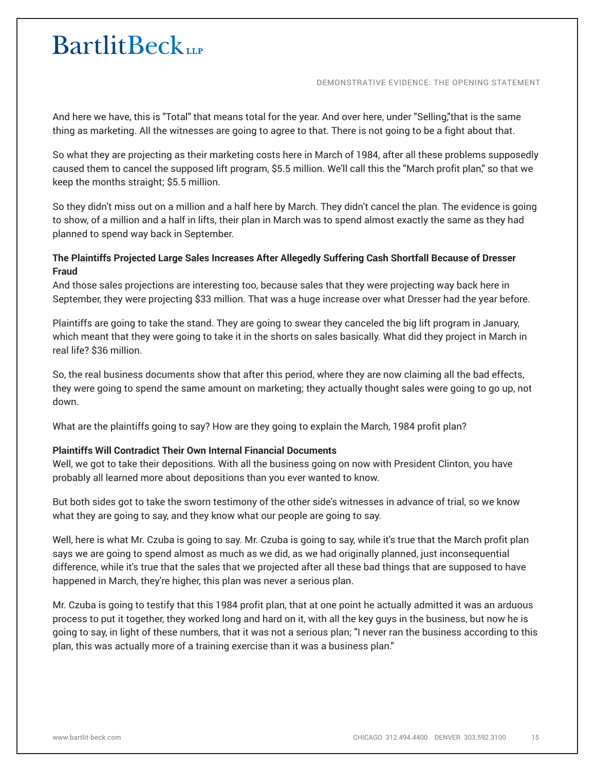DEMONSTRATIVE EVIDENCE: THE OPENING STATEMENT

And here we have, this is "Total" that means total for the year. And over here, under "Selling,"that is the same thing as marketing. All the witnesses are going to agree to that. There is not going to be a fight about that.

So what they are projecting as their marketing costs here in March of 1984, after all these problems supposedly caused them to cancel the supposed lift program, \$5.5 million. We'll call this the "March profit plan," so that we keep the months straight; \$5.5 million.

So they didn't miss out on a million and a half here by March. They didn't cancel the plan. The evidence is going to show, of a million and a half in lifts, their plan in March was to spend almost exactly the same as they had planned to spend way back in September.

### **The Plaintiffs Projected Large Sales Increases After Allegedly Suffering Cash Shortfall Because of Dresser Fraud**

And those sales projections are interesting too, because sales that they were projecting way back here in September, they were projecting \$33 million. That was a huge increase over what Dresser had the year before.

Plaintiffs are going to take the stand. They are going to swear they canceled the big lift program in January, which meant that they were going to take it in the shorts on sales basically. What did they project in March in real life? \$36 million.

So, the real business documents show that after this period, where they are now claiming all the bad effects, they were going to spend the same amount on marketing; they actually thought sales were going to go up, not down.

What are the plaintiffs going to say? How are they going to explain the March, 1984 profit plan?

### **Plaintiffs Will Contradict Their Own Internal Financial Documents**

Well, we got to take their depositions. With all the business going on now with President Clinton, you have probably all learned more about depositions than you ever wanted to know.

But both sides got to take the sworn testimony of the other side's witnesses in advance of trial, so we know what they are going to say, and they know what our people are going to say.

Well, here is what Mr. Czuba is going to say. Mr. Czuba is going to say, while it's true that the March profit plan says we are going to spend almost as much as we did, as we had originally planned, just inconsequential difference, while it's true that the sales that we projected after all these bad things that are supposed to have happened in March, they're higher, this plan was never a serious plan.

Mr. Czuba is going to testify that this 1984 profit plan, that at one point he actually admitted it was an arduous process to put it together, they worked long and hard on it, with all the key guys in the business, but now he is going to say, in light of these numbers, that it was not a serious plan; "I never ran the business according to this plan, this was actually more of a training exercise than it was a business plan."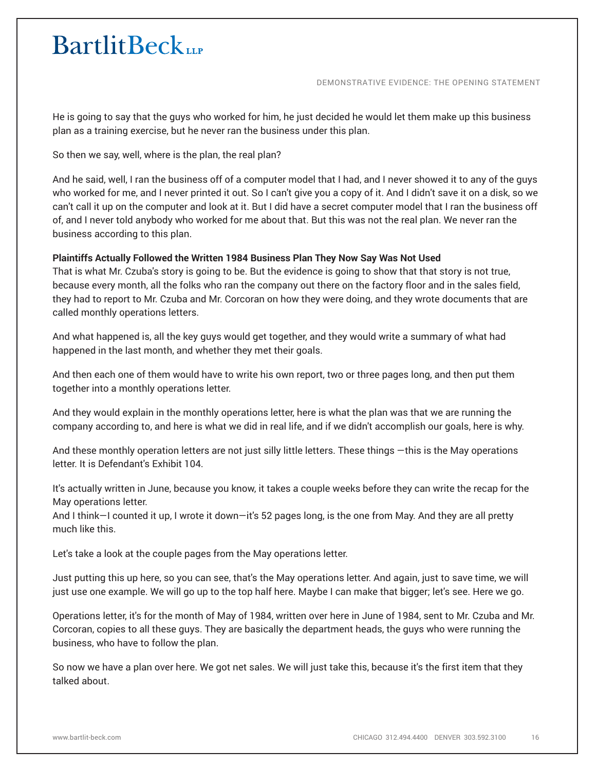DEMONSTRATIVE EVIDENCE: THE OPENING STATEMENT

He is going to say that the guys who worked for him, he just decided he would let them make up this business plan as a training exercise, but he never ran the business under this plan.

So then we say, well, where is the plan, the real plan?

And he said, well, I ran the business off of a computer model that I had, and I never showed it to any of the guys who worked for me, and I never printed it out. So I can't give you a copy of it. And I didn't save it on a disk, so we can't call it up on the computer and look at it. But I did have a secret computer model that I ran the business off of, and I never told anybody who worked for me about that. But this was not the real plan. We never ran the business according to this plan.

### **Plaintiffs Actually Followed the Written 1984 Business Plan They Now Say Was Not Used**

That is what Mr. Czuba's story is going to be. But the evidence is going to show that that story is not true, because every month, all the folks who ran the company out there on the factory floor and in the sales field, they had to report to Mr. Czuba and Mr. Corcoran on how they were doing, and they wrote documents that are called monthly operations letters.

And what happened is, all the key guys would get together, and they would write a summary of what had happened in the last month, and whether they met their goals.

And then each one of them would have to write his own report, two or three pages long, and then put them together into a monthly operations letter.

And they would explain in the monthly operations letter, here is what the plan was that we are running the company according to, and here is what we did in real life, and if we didn't accomplish our goals, here is why.

And these monthly operation letters are not just silly little letters. These things —this is the May operations letter. It is Defendant's Exhibit 104.

It's actually written in June, because you know, it takes a couple weeks before they can write the recap for the May operations letter.

And I think—I counted it up, I wrote it down—it's 52 pages long, is the one from May. And they are all pretty much like this.

Let's take a look at the couple pages from the May operations letter.

Just putting this up here, so you can see, that's the May operations letter. And again, just to save time, we will just use one example. We will go up to the top half here. Maybe I can make that bigger; let's see. Here we go.

Operations letter, it's for the month of May of 1984, written over here in June of 1984, sent to Mr. Czuba and Mr. Corcoran, copies to all these guys. They are basically the department heads, the guys who were running the business, who have to follow the plan.

So now we have a plan over here. We got net sales. We will just take this, because it's the first item that they talked about.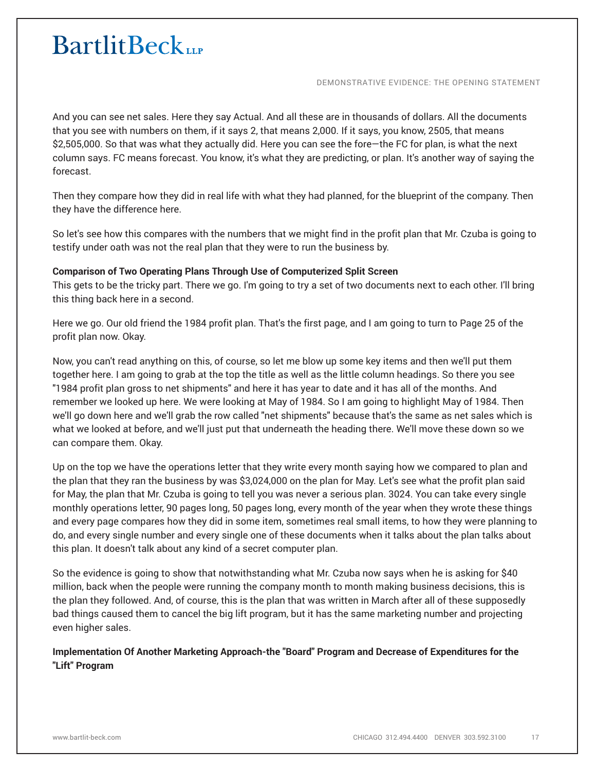DEMONSTRATIVE EVIDENCE: THE OPENING STATEMENT

And you can see net sales. Here they say Actual. And all these are in thousands of dollars. All the documents that you see with numbers on them, if it says 2, that means 2,000. If it says, you know, 2505, that means \$2,505,000. So that was what they actually did. Here you can see the fore—the FC for plan, is what the next column says. FC means forecast. You know, it's what they are predicting, or plan. It's another way of saying the forecast.

Then they compare how they did in real life with what they had planned, for the blueprint of the company. Then they have the difference here.

So let's see how this compares with the numbers that we might find in the profit plan that Mr. Czuba is going to testify under oath was not the real plan that they were to run the business by.

### **Comparison of Two Operating Plans Through Use of Computerized Split Screen**

This gets to be the tricky part. There we go. I'm going to try a set of two documents next to each other. I'll bring this thing back here in a second.

Here we go. Our old friend the 1984 profit plan. That's the first page, and I am going to turn to Page 25 of the profit plan now. Okay.

Now, you can't read anything on this, of course, so let me blow up some key items and then we'll put them together here. I am going to grab at the top the title as well as the little column headings. So there you see "1984 profit plan gross to net shipments" and here it has year to date and it has all of the months. And remember we looked up here. We were looking at May of 1984. So I am going to highlight May of 1984. Then we'll go down here and we'll grab the row called "net shipments" because that's the same as net sales which is what we looked at before, and we'll just put that underneath the heading there. We'll move these down so we can compare them. Okay.

Up on the top we have the operations letter that they write every month saying how we compared to plan and the plan that they ran the business by was \$3,024,000 on the plan for May. Let's see what the profit plan said for May, the plan that Mr. Czuba is going to tell you was never a serious plan. 3024. You can take every single monthly operations letter, 90 pages long, 50 pages long, every month of the year when they wrote these things and every page compares how they did in some item, sometimes real small items, to how they were planning to do, and every single number and every single one of these documents when it talks about the plan talks about this plan. It doesn't talk about any kind of a secret computer plan.

So the evidence is going to show that notwithstanding what Mr. Czuba now says when he is asking for \$40 million, back when the people were running the company month to month making business decisions, this is the plan they followed. And, of course, this is the plan that was written in March after all of these supposedly bad things caused them to cancel the big lift program, but it has the same marketing number and projecting even higher sales.

### **Implementation Of Another Marketing Approach-the "Board" Program and Decrease of Expenditures for the "Lift" Program**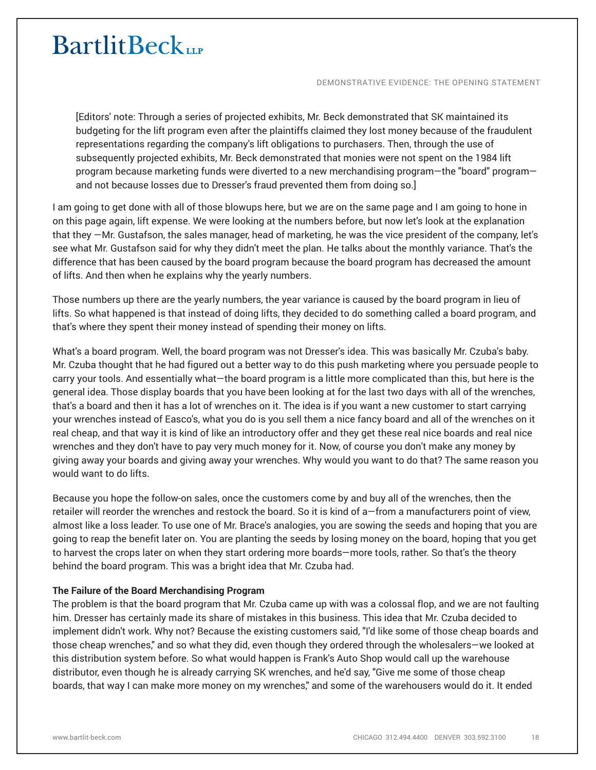DEMONSTRATIVE EVIDENCE: THE OPENING STATEMENT

[Editors' note: Through a series of projected exhibits, Mr. Beck demonstrated that SK maintained its budgeting for the lift program even after the plaintiffs claimed they lost money because of the fraudulent representations regarding the company's lift obligations to purchasers. Then, through the use of subsequently projected exhibits, Mr. Beck demonstrated that monies were not spent on the 1984 lift program because marketing funds were diverted to a new merchandising program—the "board" program and not because losses due to Dresser's fraud prevented them from doing so.]

I am going to get done with all of those blowups here, but we are on the same page and I am going to hone in on this page again, lift expense. We were looking at the numbers before, but now let's look at the explanation that they —Mr. Gustafson, the sales manager, head of marketing, he was the vice president of the company, let's see what Mr. Gustafson said for why they didn't meet the plan. He talks about the monthly variance. That's the difference that has been caused by the board program because the board program has decreased the amount of lifts. And then when he explains why the yearly numbers.

Those numbers up there are the yearly numbers, the year variance is caused by the board program in lieu of lifts. So what happened is that instead of doing lifts, they decided to do something called a board program, and that's where they spent their money instead of spending their money on lifts.

What's a board program. Well, the board program was not Dresser's idea. This was basically Mr. Czuba's baby. Mr. Czuba thought that he had figured out a better way to do this push marketing where you persuade people to carry your tools. And essentially what—the board program is a little more complicated than this, but here is the general idea. Those display boards that you have been looking at for the last two days with all of the wrenches, that's a board and then it has a lot of wrenches on it. The idea is if you want a new customer to start carrying your wrenches instead of Easco's, what you do is you sell them a nice fancy board and all of the wrenches on it real cheap, and that way it is kind of like an introductory offer and they get these real nice boards and real nice wrenches and they don't have to pay very much money for it. Now, of course you don't make any money by giving away your boards and giving away your wrenches. Why would you want to do that? The same reason you would want to do lifts.

Because you hope the follow-on sales, once the customers come by and buy all of the wrenches, then the retailer will reorder the wrenches and restock the board. So it is kind of a—from a manufacturers point of view, almost like a loss leader. To use one of Mr. Brace's analogies, you are sowing the seeds and hoping that you are going to reap the benefit later on. You are planting the seeds by losing money on the board, hoping that you get to harvest the crops later on when they start ordering more boards—more tools, rather. So that's the theory behind the board program. This was a bright idea that Mr. Czuba had.

#### **The Failure of the Board Merchandising Program**

The problem is that the board program that Mr. Czuba came up with was a colossal flop, and we are not faulting him. Dresser has certainly made its share of mistakes in this business. This idea that Mr. Czuba decided to implement didn't work. Why not? Because the existing customers said, "I'd like some of those cheap boards and those cheap wrenches," and so what they did, even though they ordered through the wholesalers—we looked at this distribution system before. So what would happen is Frank's Auto Shop would call up the warehouse distributor, even though he is already carrying SK wrenches, and he'd say, "Give me some of those cheap boards, that way I can make more money on my wrenches," and some of the warehousers would do it. It ended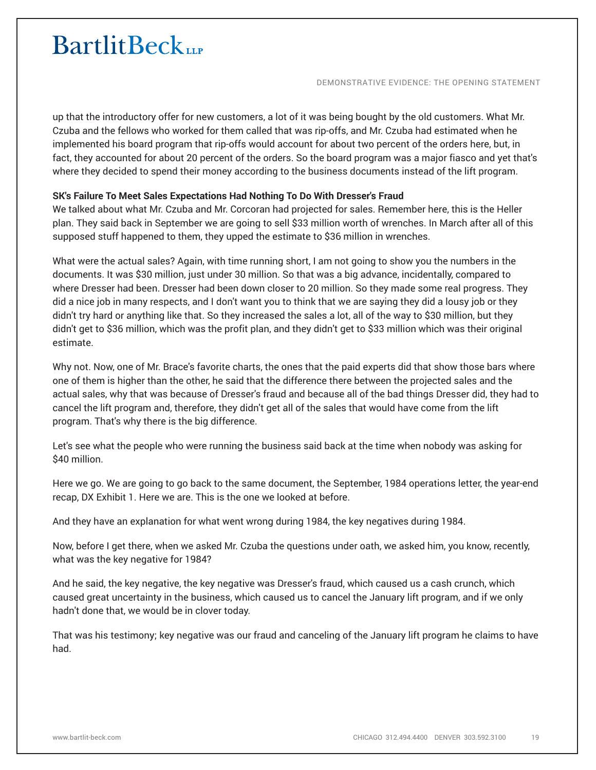DEMONSTRATIVE EVIDENCE: THE OPENING STATEMENT

up that the introductory offer for new customers, a lot of it was being bought by the old customers. What Mr. Czuba and the fellows who worked for them called that was rip-offs, and Mr. Czuba had estimated when he implemented his board program that rip-offs would account for about two percent of the orders here, but, in fact, they accounted for about 20 percent of the orders. So the board program was a major fiasco and yet that's where they decided to spend their money according to the business documents instead of the lift program.

### **SK's Failure To Meet Sales Expectations Had Nothing To Do With Dresser's Fraud**

We talked about what Mr. Czuba and Mr. Corcoran had projected for sales. Remember here, this is the Heller plan. They said back in September we are going to sell \$33 million worth of wrenches. In March after all of this supposed stuff happened to them, they upped the estimate to \$36 million in wrenches.

What were the actual sales? Again, with time running short, I am not going to show you the numbers in the documents. It was \$30 million, just under 30 million. So that was a big advance, incidentally, compared to where Dresser had been. Dresser had been down closer to 20 million. So they made some real progress. They did a nice job in many respects, and I don't want you to think that we are saying they did a lousy job or they didn't try hard or anything like that. So they increased the sales a lot, all of the way to \$30 million, but they didn't get to \$36 million, which was the profit plan, and they didn't get to \$33 million which was their original estimate.

Why not. Now, one of Mr. Brace's favorite charts, the ones that the paid experts did that show those bars where one of them is higher than the other, he said that the difference there between the projected sales and the actual sales, why that was because of Dresser's fraud and because all of the bad things Dresser did, they had to cancel the lift program and, therefore, they didn't get all of the sales that would have come from the lift program. That's why there is the big difference.

Let's see what the people who were running the business said back at the time when nobody was asking for \$40 million.

Here we go. We are going to go back to the same document, the September, 1984 operations letter, the year-end recap, DX Exhibit 1. Here we are. This is the one we looked at before.

And they have an explanation for what went wrong during 1984, the key negatives during 1984.

Now, before I get there, when we asked Mr. Czuba the questions under oath, we asked him, you know, recently, what was the key negative for 1984?

And he said, the key negative, the key negative was Dresser's fraud, which caused us a cash crunch, which caused great uncertainty in the business, which caused us to cancel the January lift program, and if we only hadn't done that, we would be in clover today.

That was his testimony; key negative was our fraud and canceling of the January lift program he claims to have had.